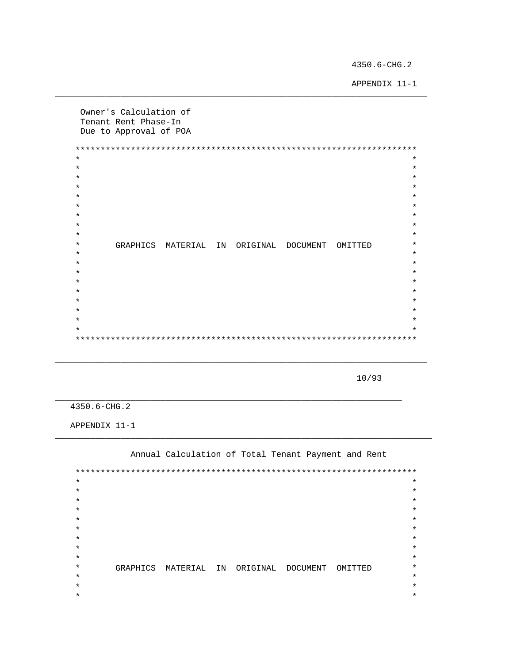4350.6-CHG.2

APPENDIX 11-1

Owner's Calculation of Tenant Rent Phase-In Due to Approval of POA  $\star$  $\star$  $\star$  $\star$  $\star$  $\star$  $\star$  $\star$  $\star$  $\star$  $\star$  $\star$  $\star$  $\star$  $\star$  $\star$ GRAPHICS MATERIAL IN ORIGINAL DOCUMENT OMITTED  $\star$  $\star$  $\ddot{\textbf{r}}$  $\star$  $\star$  $\star$  $\star$  $\star$  $\star$  $\star$  $\star$  $\star$  $\star$  $\star$ 

10/93

4350.6-CHG.2

APPENDIX 11-1

Annual Calculation of Total Tenant Payment and Rent

 $\star$  $\star$  $\star$  $\star$  $\star$  $\star$  $\star$  $\star$  $\star$  $\star$  $\star$  $\star$  $\star$  $\star$  $\star$  $\star$  $\star$  $\star$  $\star$ GRAPHICS MATERIAL IN ORIGINAL DOCUMENT OMITTED  $\star$  $\star$  $\star$  $\star$  $\star$  $\star$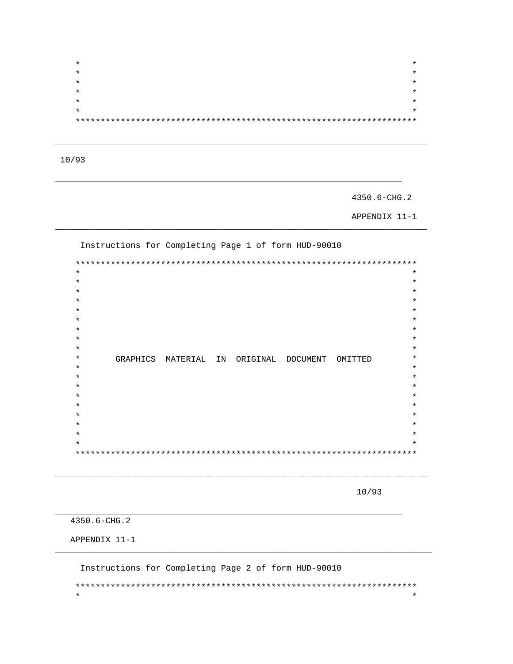$\star$  $\star$  $\star$  $\star$  $\star$  $\star$  $\star$ 

 $10/93$ 

4350.6-CHG.2

APPENDIX 11-1

Instructions for Completing Page 1 of form HUD-90010  $\ast$  $\star$  $\star$  $\star$  $\star$  $\star$  $\star$  $\star$  $\star$  $\star$ GRAPHICS MATERIAL IN ORIGINAL DOCUMENT OMITTED  $\star$  $\star$  $\star$  $\star$  $\star$  $\star$  $\star$  $\star$  $^\star$  $* *$ 

10/93

4350.6-CHG.2

APPENDIX 11-1

Instructions for Completing Page 2 of form HUD-90010  $\star$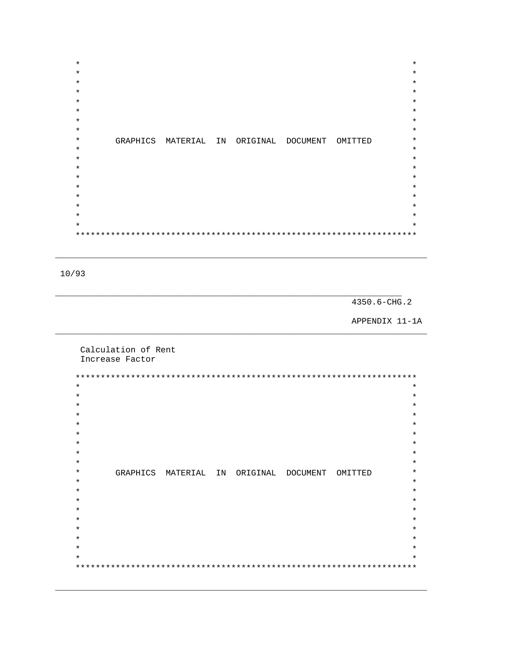| $\star$  |                      |          |          |         | $\star$ |
|----------|----------------------|----------|----------|---------|---------|
| $^\star$ |                      |          |          |         | $\star$ |
|          |                      |          |          |         |         |
| $^\star$ |                      |          |          |         | $\star$ |
| $\star$  |                      |          |          |         | $\star$ |
| $^\star$ |                      |          |          |         | $\star$ |
| $^\star$ |                      |          |          |         | $\star$ |
| $\star$  |                      |          |          |         | $\star$ |
| $\star$  |                      |          |          |         | $\star$ |
| $^\star$ | GRAPHICS MATERIAL IN | ORIGINAL | DOCUMENT | OMITTED | $\star$ |
| $\star$  |                      |          |          |         | $\star$ |
|          |                      |          |          |         | $\star$ |
| $\star$  |                      |          |          |         |         |
| $\star$  |                      |          |          |         | $\star$ |
| $\star$  |                      |          |          |         | $\star$ |
| $^\star$ |                      |          |          |         | $\star$ |
| $\star$  |                      |          |          |         | $\star$ |
| $\star$  |                      |          |          |         | $\star$ |
| $^\star$ |                      |          |          |         | $\star$ |
| $\star$  |                      |          |          |         | $\star$ |
|          |                      |          |          |         |         |

 $10/93$ 

4350.6-CHG.2

APPENDIX 11-1A

Calculation of Rent Increase Factor

 $\star$  $\star$  $\star$  $\star$  $\star$  $\star$  $\star$  $\star$  $\star$  $\star$  $\star$  $\star$  $\ast$  $\star$ GRAPHICS MATERIAL IN ORIGINAL DOCUMENT OMITTED  $\star$  $^\star$  $\star$  $\star$  $\star$  $\star$  $\star$  $\star$  $\star$  $\star$  $\star$  $\star$  $\star$  $\star$  $\star$  $\star$  $\star$  $\star$  $\star$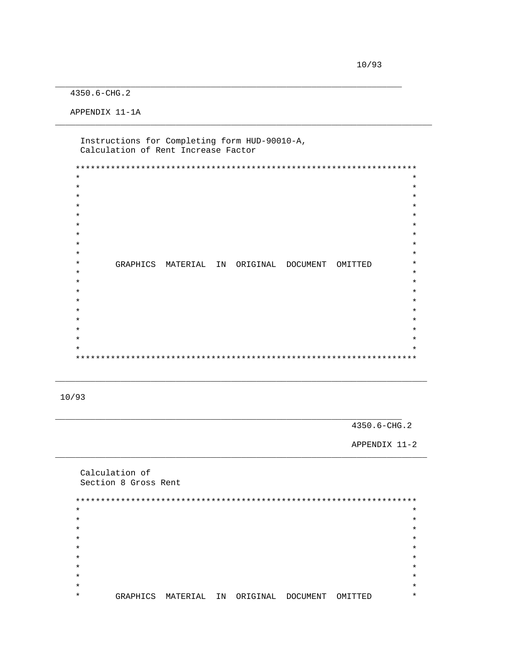4350.6-CHG.2

APPENDIX 11-1A

Instructions for Completing form HUD-90010-A, Calculation of Rent Increase Factor

 $\star$  $\star$  $\star$  $\star$  $\star$  $\star$  $\star$  $\star$  $\star$  $\star$  $\star$  $\star$  $\star$  $\star$  $\ddot{\textbf{r}}$  $\star$ GRAPHICS MATERIAL IN ORIGINAL DOCUMENT OMITTED  $\star$  $\star$  $\star$  $\star$  $\star$  $\star$  $\star$  $\star$  $\star$  $\star$  $\star$  $\ddot{\textbf{r}}$ 

 $10/93$ 

4350.6-CHG.2

APPENDIX 11-2

Calculation of Section 8 Gross Rent  $\star$  $\star$  $\star$  $\star$  $\star$  $\star$  $\star$  $\star$  $\star$  $\star$  $\star$  $\star$  $\star$  $\star$  $\star$  $\star$  $\star$ GRAPHICS MATERIAL IN ORIGINAL DOCUMENT OMITTED  $\star$  $\star$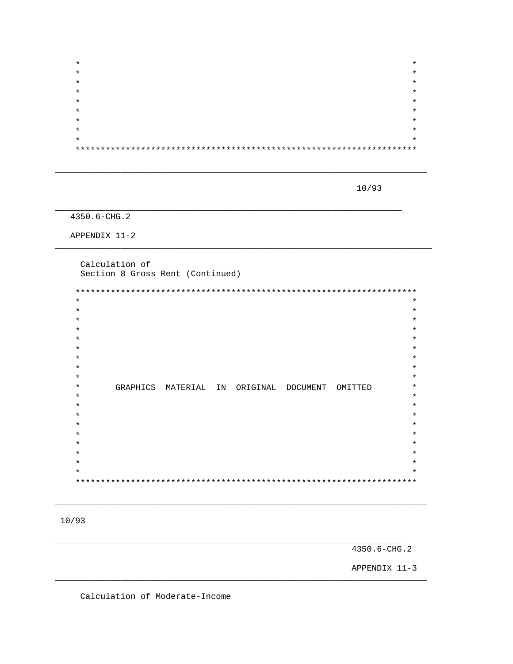| $\star$ | $\star$ |
|---------|---------|
| $\star$ | $\star$ |
| $\star$ | $\star$ |
| $\star$ | $\star$ |
| $\star$ | $\star$ |
| $\star$ | $\star$ |
| $\star$ | $\star$ |
| $\star$ | $\star$ |
| $\star$ | $\star$ |
|         |         |

10/93

4350.6-CHG.2

APPENDIX 11-2

Calculation of Section 8 Gross Rent (Continued)

| $\star$  |          |          |    |                   |         | $\star$ |
|----------|----------|----------|----|-------------------|---------|---------|
| $\ast$   |          |          |    |                   |         | $\star$ |
| $\ast$   |          |          |    |                   |         | $\star$ |
| $\ast$   |          |          |    |                   |         | $\star$ |
| $\ast$   |          |          |    |                   |         | $\star$ |
| $\ast$   |          |          |    |                   |         | $\star$ |
| $\ast$   |          |          |    |                   |         | $\star$ |
| $\ast$   |          |          |    |                   |         | $\star$ |
| $^\star$ |          |          |    |                   |         | $\star$ |
| $\ast$   | GRAPHICS | MATERIAL | IN | ORIGINAL DOCUMENT | OMITTED | $\star$ |
| $\star$  |          |          |    |                   |         | $\star$ |
| $\ast$   |          |          |    |                   |         | $\star$ |
| $\ast$   |          |          |    |                   |         | $\star$ |
| $\ast$   |          |          |    |                   |         | $\star$ |
| $^\star$ |          |          |    |                   |         | $\star$ |
| $\ast$   |          |          |    |                   |         | $\star$ |
| $\star$  |          |          |    |                   |         | $\star$ |
| $^\star$ |          |          |    |                   |         | $\star$ |
| $\ast$   |          |          |    |                   |         | $\star$ |
|          |          |          |    |                   |         |         |

 $10/93$ 

4350.6-CHG.2

APPENDIX 11-3

Calculation of Moderate-Income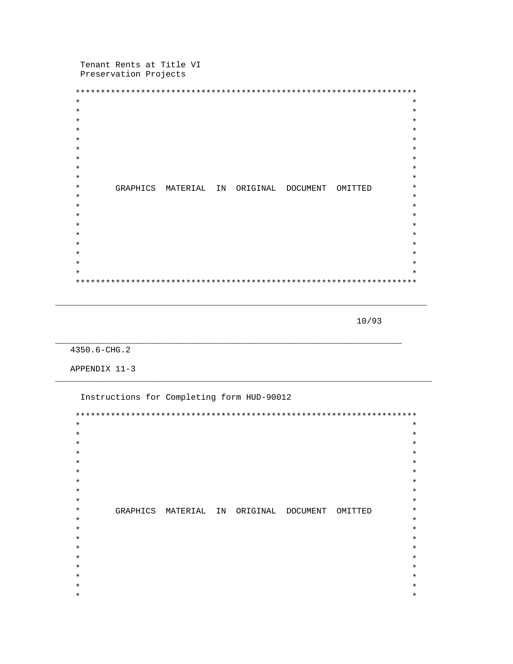Tenant Rents at Title VI Preservation Projects

| $\star$  |          |          |    |          |          |         | $^\star$ |
|----------|----------|----------|----|----------|----------|---------|----------|
| $\star$  |          |          |    |          |          |         | $\star$  |
| $^\star$ |          |          |    |          |          |         | $\star$  |
| *        |          |          |    |          |          |         | $\star$  |
| *        |          |          |    |          |          |         | $\star$  |
| $^\star$ |          |          |    |          |          |         | $\star$  |
| $^\star$ |          |          |    |          |          |         | $\star$  |
| *        |          |          |    |          |          |         | $\star$  |
| $^\star$ |          |          |    |          |          |         | $\star$  |
| $^\star$ | GRAPHICS | MATERIAL | IN | ORIGINAL | DOCUMENT | OMITTED | $\star$  |
| $^\star$ |          |          |    |          |          |         | $\star$  |
| *        |          |          |    |          |          |         | $\star$  |
| *        |          |          |    |          |          |         | $\star$  |
| $^\star$ |          |          |    |          |          |         | $\star$  |
| *        |          |          |    |          |          |         | $\star$  |
| $^\star$ |          |          |    |          |          |         | $\star$  |
| *        |          |          |    |          |          |         | $\star$  |
| $^\star$ |          |          |    |          |          |         | $\star$  |
| $\star$  |          |          |    |          |          |         | $\star$  |
|          |          |          |    |          |          |         |          |

 $10/93$ 

4350.6-CHG.2

APPENDIX 11-3

Instructions for Completing form HUD-90012  $\star$  $\star$  $\star$  $\star$  $\star$  $\star$  $\star$  $\star$  $\star$  $\star$  $\star$  $\star$  $\star$  $\star$  $\star$  $\star$  $\star$  $\star$ GRAPHICS MATERIAL IN ORIGINAL DOCUMENT OMITTED  $\star$  $\star$  $\star$  $\star$  $\star$  $\star$  $\star$  $\star$  $\star$  $\star$  $\star$  $\star$  $\star$  $\star$  $\star$  $\star$  $\star$  $\star$  $\star$